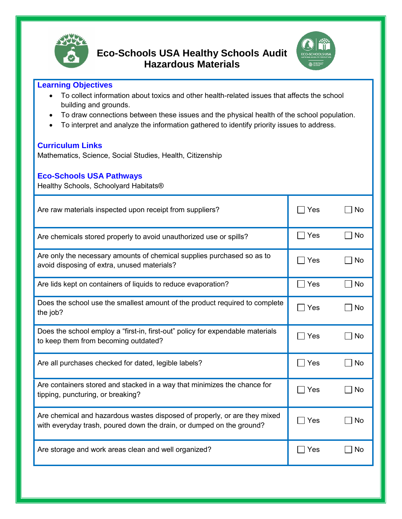

**Eco-Schools USA Healthy Schools Audit Hazardous Materials**



## **Learning Objectives**

- To collect information about toxics and other health-related issues that affects the school building and grounds.
- To draw connections between these issues and the physical health of the school population.
- To interpret and analyze the information gathered to identify priority issues to address.

## **Curriculum Links**

Mathematics, Science, Social Studies, Health, Citizenship

## **Eco-Schools USA Pathways**

Healthy Schools, Schoolyard Habitats®

| Are raw materials inspected upon receipt from suppliers?                                                                                          | Yes   | <b>No</b> |
|---------------------------------------------------------------------------------------------------------------------------------------------------|-------|-----------|
| Are chemicals stored properly to avoid unauthorized use or spills?                                                                                | Yes   | □ No      |
| Are only the necessary amounts of chemical supplies purchased so as to<br>avoid disposing of extra, unused materials?                             | Yes   | No        |
| Are lids kept on containers of liquids to reduce evaporation?                                                                                     | Yes   | $\Box$ No |
| Does the school use the smallest amount of the product required to complete<br>the job?                                                           | Yes   | No        |
| Does the school employ a "first-in, first-out" policy for expendable materials<br>to keep them from becoming outdated?                            | Yes   | <b>No</b> |
| Are all purchases checked for dated, legible labels?                                                                                              | Yes   | <b>No</b> |
| Are containers stored and stacked in a way that minimizes the chance for<br>tipping, puncturing, or breaking?                                     | Yes   | No        |
| Are chemical and hazardous wastes disposed of properly, or are they mixed<br>with everyday trash, poured down the drain, or dumped on the ground? | Yes   | No        |
| Are storage and work areas clean and well organized?                                                                                              | ∣ Yes | No        |